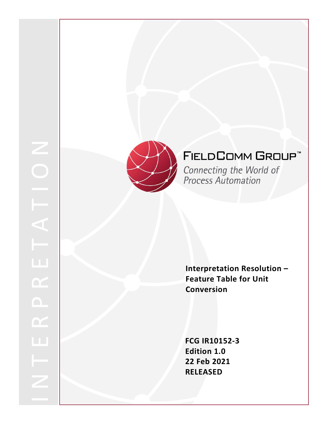



# **FIELDCOMM GROUP™**

**Connecting the World of Process Automation** 

**Interpretation Resolution – Feature Table for Unit Conversion**

**FCG IR10152 - 3 Edition 1.0 22 Feb 2021 RELEASED**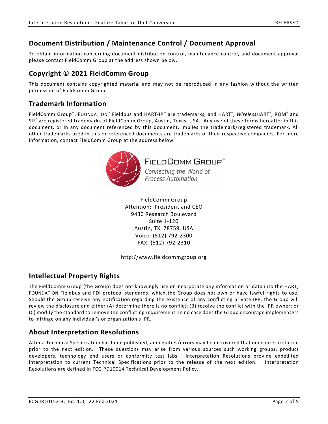# **Document Distribution / Maintenance Control / Document Approval**

To obtain information concerning document distribution control, maintenance control, and document approval please contact FieldComm Group at the address shown below.

## **Copyright © 2021 FieldComm Group**

This document contains copyrighted material and may not be reproduced in any fashion without the written permission of FieldComm Group.

## **Trademark Information**

FieldComm Group™, FOUNDATION™ Fieldbus and HART-IP™ are trademarks, and HART®, *Wireless*HART®, ROM® and SIF® are registered trademarks of FieldComm Group, Austin, Texas, USA. Any use of these terms hereafter in this document, or in any document referenced by this document, implies the trademark/registered trademark. All other trademarks used in this or referenced documents are trademarks of their respective companies. For more information, contact FieldComm Group at the address below.



**FIELDCOMM GROUP** 

Connecting the World of **Process Automation** 

FieldComm Group Attention: President and CEO 9430 Research Boulevard Suite 1-120 Austin, TX 78759, USA Voice: (512) 792-2300 FAX: (512) 792-2310

http://www.fieldcommgroup.org

# **Intellectual Property Rights**

The FieldComm Group (the Group) does not knowingly use or incorporate any information or data into the HART, FOUNDATION Fieldbus and FDI protocol standards, which the Group does not own or have lawful rights to use. Should the Group receive any notification regarding the existence of any conflicting private IPR, the Group will review the disclosure and either (A) determine there is no conflict; (B) resolve the conflict with the IPR owner; or (C) modify the standard to remove the conflicting requirement. In no case does the Group encourage implementers to infringe on any individual's or organization's IPR.

### **About Interpretation Resolutions**

After a Technical Specification has been published, ambiguities/errors may be discovered that need interpretation prior to the next edition. These questions may arise from various sources such working groups, product developers, technology end users or conformity test labs. Interpretation Resolutions provide expedited interpretation to current Technical Specifications prior to the release of the next edition. Interpretation Resolutions are defined in FCG PD10014 Technical Development Policy.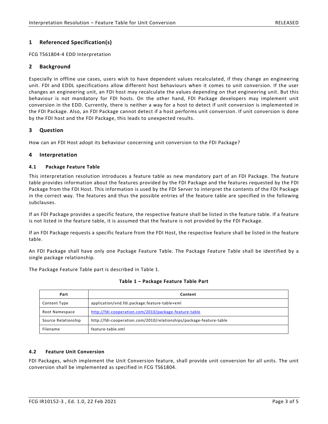### **1 Referenced Specification(s)**

FCG TS61804-4 EDD Interpretation

### **2 Background**

Especially in offline use cases, users wish to have dependent values recalculated, if they change an engineering unit. FDI and EDDL specifications allow different host behaviours when it comes to unit conversion. If the user changes an engineering unit, an FDI host may recalculate the values depending on that engineering unit. But this behaviour is not mandatory for FDI hosts. On the other hand, FDI Package developers may implement unit conversion in the EDD. Currently, there is neither a way for a host to detect if unit conversion is implemented in the FDI Package. Also, an FDI Package cannot detect if a host performs unit conversion. If unit conversion is done by the FDI host and the FDI Package, this leads to unexpected results.

### **3 Question**

How can an FDI Host adopt its behaviour concerning unit conversion to the FDI Package?

### **4 Interpretation**

#### **4.1 Package Feature Table**

This interpretation resolution introduces a feature table as new mandatory part of an FDI Package. The feature table provides information about the features provided by the FDI Package and the features requested by the FDI Package from the FDI Host. This information is used by the FDI Server to interpret the contents of the FDI Package in the correct way. The features and thus the possible entries of the feature table are specified in the following subclauses.

If an FDI Package provides a specific feature, the respective feature shall be listed in the feature table. If a feature is not listed in the feature table, it is assumed that the feature is not provided by the FDI Package.

If an FDI Package requests a specific feature from the FDI Host, the respective feature shall be listed in the feature table.

An FDI Package shall have only one Package Feature Table. The Package Feature Table shall be identified by a single package relationship.

<span id="page-2-0"></span>The Package Feature Table part is described in [Table](#page-2-0) 1.

| Part                | Content                                                             |
|---------------------|---------------------------------------------------------------------|
| Content Type        | application/vnd.fdi.package.feature-table+xml                       |
| Root Namespace      | http://fdi-cooperation.com/2010/package-feature-table               |
| Source Relationship | http://fdi-cooperation.com/2010/relationships/package-feature-table |
| Filename            | feature-table.xml                                                   |

**Table 1 – Package Feature Table Part**

#### **4.2 Feature Unit Conversion**

FDI Packages, which implement the Unit Conversion feature, shall provide unit conversion for all units. The unit conversion shall be implemented as specified in FCG TS61804.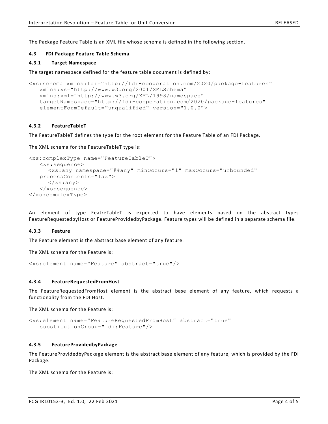The Package Feature Table is an XML file whose schema is defined in the following section.

#### **4.3 FDI Package Feature Table Schema**

#### **4.3.1 Target Namespace**

The target namespace defined for the feature table document is defined by:

```
<xs:schema xmlns:fdi="http://fdi-cooperation.com/2020/package-features" 
   xmlns:xs="http://www.w3.org/2001/XMLSchema" 
   xmlns:xml="http://www.w3.org/XML/1998/namespace" 
   targetNamespace="http://fdi-cooperation.com/2020/package-features" 
   elementFormDefault="unqualified" version="1.0.0">
```
#### **4.3.2 FeatureTableT**

The FeatureTableT defines the type for the root element for the Feature Table of an FDI Package.

The XML schema for the FeatureTableT type is:

```
<xs:complexType name="FeatureTableT">
   <xs:sequence>
      <xs:any namespace="##any" minOccurs="1" maxOccurs="unbounded" 
   processContents="lax">
      \langle x s : \text{any} \rangle</xs:sequence>
</xs:complexType>
```
An element of type FeatreTableT is expected to have elements based on the abstract types FeatureRequestedbyHost or FeatureProvidedbyPackage. Feature types will be defined in a separate schema file.

#### **4.3.3 Feature**

The Feature element is the abstract base element of any feature.

The XML schema for the Feature is:

```
<xs:element name="Feature" abstract="true"/>
```
#### **4.3.4 FeatureRequestedFromHost**

The FeatureRequestedFromHost element is the abstract base element of any feature, which requests a functionality from the FDI Host.

The XML schema for the Feature is:

```
<xs:element name="FeatureRequestedFromHost" abstract="true" 
   substitutionGroup="fdi:Feature"/>
```
#### **4.3.5 FeatureProvidedbyPackage**

The FeatureProvidedbyPackage element is the abstract base element of any feature, which is provided by the FDI Package.

The XML schema for the Feature is: